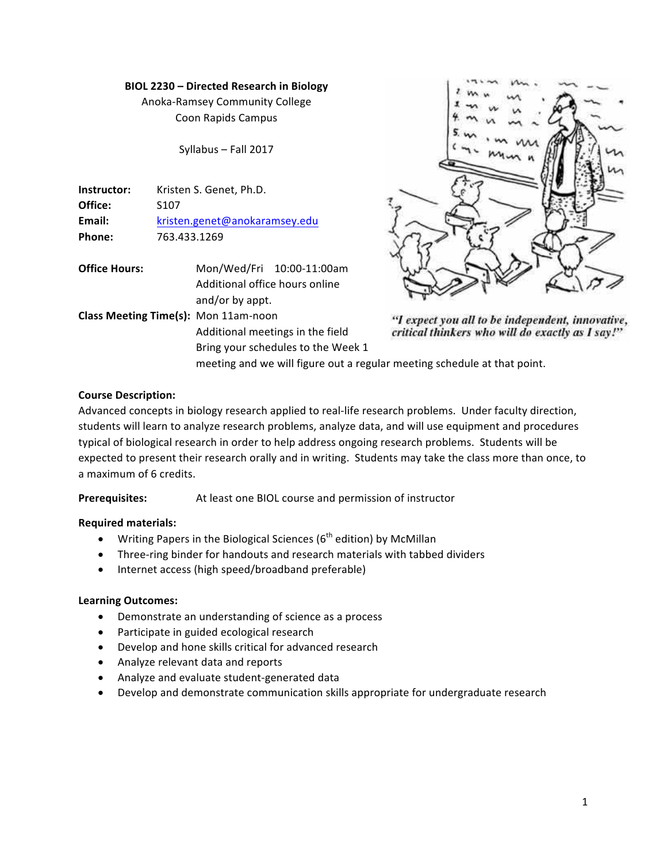### **BIOL 2230 – Directed Research in Biology**

Anoka-Ramsey Community College Coon Rapids Campus

Syllabus - Fall 2017

| Instructor: | Kristen S. Genet, Ph.D.       |  |
|-------------|-------------------------------|--|
| Office:     | S <sub>107</sub>              |  |
| Email:      | kristen.genet@anokaramsey.edu |  |
| Phone:      | 763.433.1269                  |  |

**Office Hours:** Mon/Wed/Fri 10:00-11:00am Additional office hours online and/or by appt.

**Class Meeting Time(s):** Mon 11am-noon Additional meetings in the field Bring your schedules to the Week 1



"I expect you all to be independent, innovative, critical thinkers who will do exactly as I say!"

meeting and we will figure out a regular meeting schedule at that point.

## **Course Description:**

Advanced concepts in biology research applied to real-life research problems. Under faculty direction, students will learn to analyze research problems, analyze data, and will use equipment and procedures typical of biological research in order to help address ongoing research problems. Students will be expected to present their research orally and in writing. Students may take the class more than once, to a maximum of 6 credits.

**Prerequisites:** At least one BIOL course and permission of instructor

## **Required materials:**

- Writing Papers in the Biological Sciences ( $6<sup>th</sup>$  edition) by McMillan
- Three-ring binder for handouts and research materials with tabbed dividers
- Internet access (high speed/broadband preferable)

## **Learning Outcomes:**

- Demonstrate an understanding of science as a process
- Participate in guided ecological research
- Develop and hone skills critical for advanced research
- Analyze relevant data and reports
- Analyze and evaluate student-generated data
- Develop and demonstrate communication skills appropriate for undergraduate research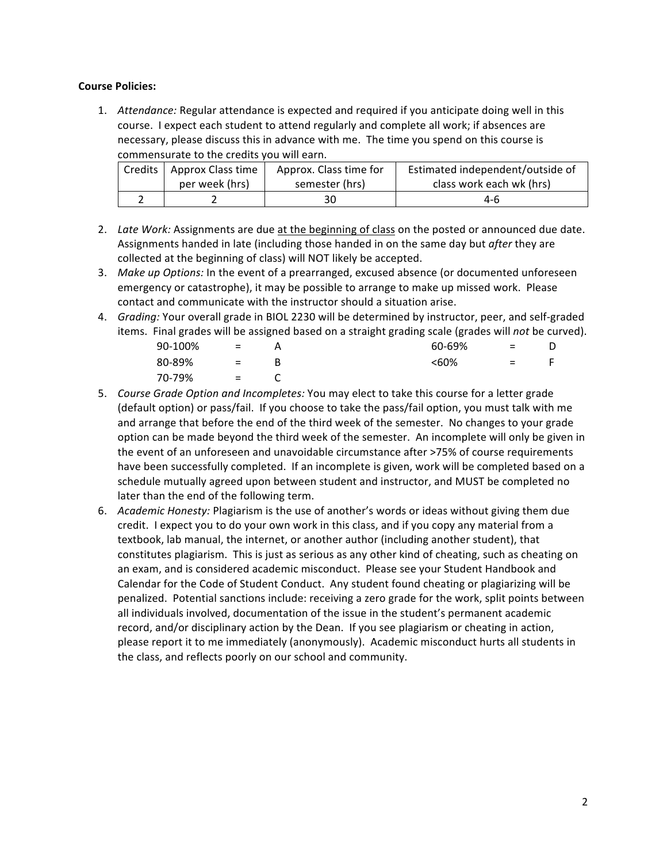### **Course Policies:**

1. Attendance: Regular attendance is expected and required if you anticipate doing well in this course. I expect each student to attend regularly and complete all work; if absences are necessary, please discuss this in advance with me. The time you spend on this course is commensurate to the credits you will earn.

| Credits   Approx Class time | Approx. Class time for | Estimated independent/outside of |
|-----------------------------|------------------------|----------------------------------|
| per week (hrs)              | semester (hrs)         | class work each wk (hrs)         |
|                             |                        | 4-6                              |

- 2. Late Work: Assignments are due at the beginning of class on the posted or announced due date. Assignments handed in late (including those handed in on the same day but *after* they are collected at the beginning of class) will NOT likely be accepted.
- 3. *Make up Options:* In the event of a prearranged, excused absence (or documented unforeseen emergency or catastrophe), it may be possible to arrange to make up missed work. Please contact and communicate with the instructor should a situation arise.
- 4. *Grading:* Your overall grade in BIOL 2230 will be determined by instructor, peer, and self-graded items. Final grades will be assigned based on a straight grading scale (grades will *not* be curved).

| 90-100% | $\mathbf{r} = \mathbf{r} \mathbf{r}$ |   | 60-69% | $=$                       |     |
|---------|--------------------------------------|---|--------|---------------------------|-----|
| 80-89%  | $\mathbf{r} = \mathbf{r}$            | В | < 60%  | $\mathbf{r} = \mathbf{r}$ | - F |
| 70-79%  | <b>Service</b> Service               |   |        |                           |     |

- 5. *Course Grade Option and Incompletes:* You may elect to take this course for a letter grade (default option) or pass/fail. If you choose to take the pass/fail option, you must talk with me and arrange that before the end of the third week of the semester. No changes to your grade option can be made beyond the third week of the semester. An incomplete will only be given in the event of an unforeseen and unavoidable circumstance after >75% of course requirements have been successfully completed. If an incomplete is given, work will be completed based on a schedule mutually agreed upon between student and instructor, and MUST be completed no later than the end of the following term.
- 6. *Academic Honesty:* Plagiarism is the use of another's words or ideas without giving them due credit. I expect you to do your own work in this class, and if you copy any material from a textbook, lab manual, the internet, or another author (including another student), that constitutes plagiarism. This is just as serious as any other kind of cheating, such as cheating on an exam, and is considered academic misconduct. Please see your Student Handbook and Calendar for the Code of Student Conduct. Any student found cheating or plagiarizing will be penalized. Potential sanctions include: receiving a zero grade for the work, split points between all individuals involved, documentation of the issue in the student's permanent academic record, and/or disciplinary action by the Dean. If you see plagiarism or cheating in action, please report it to me immediately (anonymously). Academic misconduct hurts all students in the class, and reflects poorly on our school and community.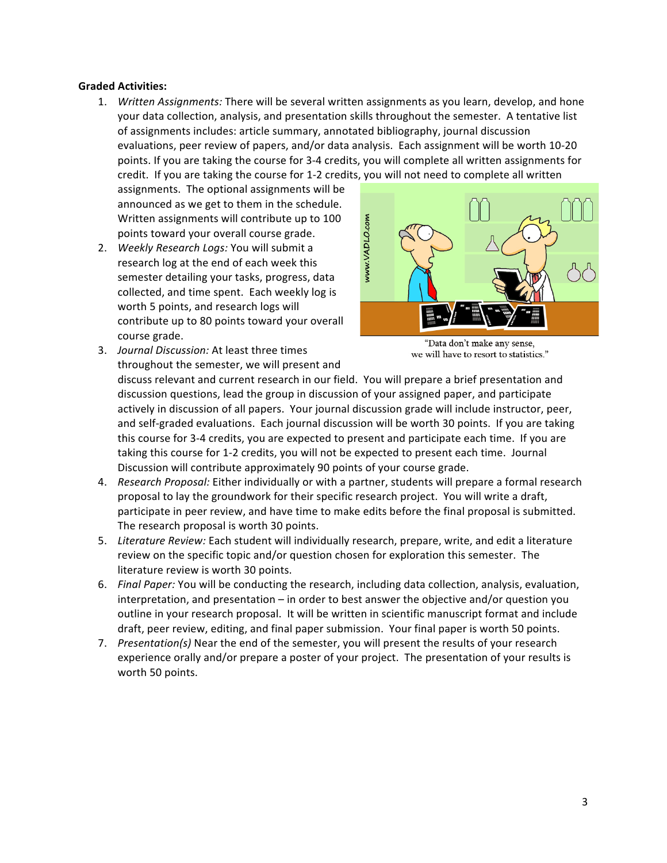### **Graded Activities:**

1. *Written Assignments:* There will be several written assignments as you learn, develop, and hone your data collection, analysis, and presentation skills throughout the semester. A tentative list of assignments includes: article summary, annotated bibliography, journal discussion evaluations, peer review of papers, and/or data analysis. Each assignment will be worth 10-20 points. If you are taking the course for 3-4 credits, you will complete all written assignments for credit. If you are taking the course for 1-2 credits, you will not need to complete all written

assignments. The optional assignments will be announced as we get to them in the schedule. Written assignments will contribute up to 100 points toward your overall course grade.

2. Weekly Research Logs: You will submit a research log at the end of each week this semester detailing your tasks, progress, data collected, and time spent. Each weekly log is worth 5 points, and research logs will contribute up to 80 points toward your overall course grade.



- "Data don't make any sense, we will have to resort to statistics."
- 3. *Journal Discussion:* At least three times throughout the semester, we will present and

discuss relevant and current research in our field. You will prepare a brief presentation and discussion questions, lead the group in discussion of your assigned paper, and participate actively in discussion of all papers. Your journal discussion grade will include instructor, peer, and self-graded evaluations. Each journal discussion will be worth 30 points. If you are taking this course for 3-4 credits, you are expected to present and participate each time. If you are taking this course for 1-2 credits, you will not be expected to present each time. Journal Discussion will contribute approximately 90 points of your course grade.

- 4. *Research Proposal:* Either individually or with a partner, students will prepare a formal research proposal to lay the groundwork for their specific research project. You will write a draft, participate in peer review, and have time to make edits before the final proposal is submitted. The research proposal is worth 30 points.
- 5. Literature Review: Each student will individually research, prepare, write, and edit a literature review on the specific topic and/or question chosen for exploration this semester. The literature review is worth 30 points.
- 6. Final Paper: You will be conducting the research, including data collection, analysis, evaluation, interpretation, and presentation  $-$  in order to best answer the objective and/or question you outline in your research proposal. It will be written in scientific manuscript format and include draft, peer review, editing, and final paper submission. Your final paper is worth 50 points.
- 7. Presentation(s) Near the end of the semester, you will present the results of your research experience orally and/or prepare a poster of your project. The presentation of your results is worth 50 points.